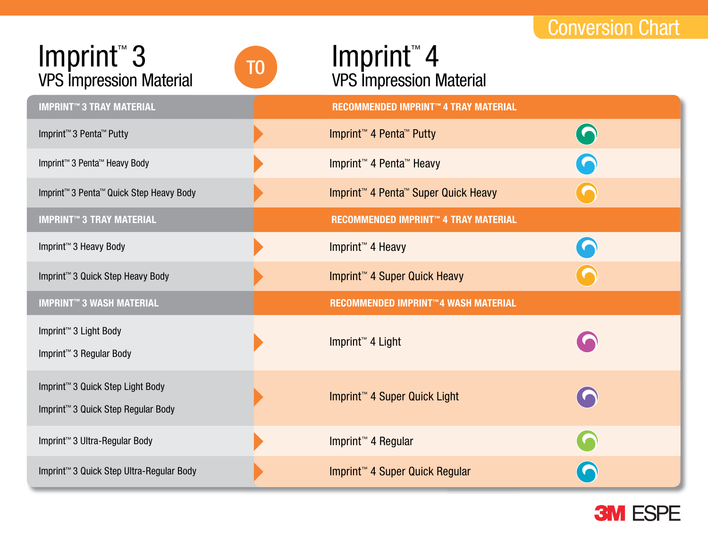# Conversion Chart

### VPS Impression Material Imprint™ 3 **IMPRINT™ 3 TRAY MATERIAL RECOMMENDED IMPRINT™ 4 TRAY MATERIAL** VPS Impression Material

### ■ VPS Impression Mater  $\blacksquare$  Imprint 4 Imprint<sup>™</sup>4 TO **ITTIPLITE**<br>VPS Impression Material

| <b>IMPRINT™ 3 TRAY MATERIAL</b>                                                                | <b>RECOMMENDED IMPRINT™ 4 TRAY MATERIAL</b>                 |            |
|------------------------------------------------------------------------------------------------|-------------------------------------------------------------|------------|
| Imprint <sup>™</sup> 3 Penta <sup>™</sup> Putty                                                | Imprint <sup>™</sup> 4 Penta <sup>™</sup> Putty             | $\bigodot$ |
| Imprint <sup>™</sup> 3 Penta <sup>™</sup> Heavy Body                                           | Imprint <sup>™</sup> 4 Penta <sup>™</sup> Heavy             | C          |
| Imprint <sup>™</sup> 3 Penta <sup>™</sup> Quick Step Heavy Body                                | Imprint <sup>™</sup> 4 Penta <sup>™</sup> Super Quick Heavy |            |
| <b>IMPRINT™ 3 TRAY MATERIAL</b>                                                                | RECOMMENDED IMPRINT™ 4 TRAY MATERIAL                        |            |
| Imprint <sup>™</sup> 3 Heavy Body                                                              | Imprint <sup>™</sup> 4 Heavy                                | <b>G</b>   |
| Imprint <sup>™</sup> 3 Quick Step Heavy Body                                                   | Imprint <sup>™</sup> 4 Super Quick Heavy                    |            |
|                                                                                                |                                                             |            |
| <b>IMPRINT™ 3 WASH MATERIAL</b>                                                                | RECOMMENDED IMPRINT™4 WASH MATERIAL                         |            |
| Imprint <sup>™</sup> 3 Light Body<br>Imprint <sup>™</sup> 3 Regular Body                       | Imprint <sup>™</sup> 4 Light                                |            |
| Imprint <sup>™</sup> 3 Quick Step Light Body<br>Imprint <sup>™</sup> 3 Quick Step Regular Body | Imprint <sup>™</sup> 4 Super Quick Light                    | $\bigcap$  |
| Imprint <sup>™</sup> 3 Ultra-Regular Body                                                      | Imprint <sup>™</sup> 4 Regular                              | C          |